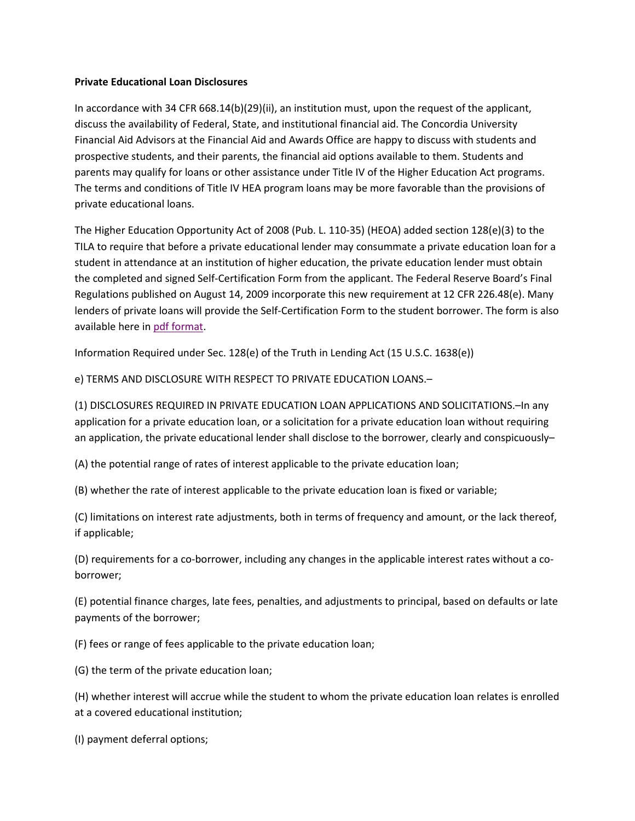## **Private Educational Loan Disclosures**

In accordance with 34 CFR 668.14(b)(29)(ii), an institution must, upon the request of the applicant, discuss the availability of Federal, State, and institutional financial aid. The Concordia University Financial Aid Advisors at the Financial Aid and Awards Office are happy to discuss with students and prospective students, and their parents, the financial aid options available to them. Students and parents may qualify for loans or other assistance under Title IV of the Higher Education Act programs. The terms and conditions of Title IV HEA program loans may be more favorable than the provisions of private educational loans.

The Higher Education Opportunity Act of 2008 (Pub. L. 110-35) (HEOA) added section 128(e)(3) to the TILA to require that before a private educational lender may consummate a private education loan for a student in attendance at an institution of higher education, the private education lender must obtain the completed and signed Self-Certification Form from the applicant. The Federal Reserve Board's Final Regulations published on August 14, 2009 incorporate this new requirement at 12 CFR 226.48(e). Many lenders of private loans will provide the Self-Certification Form to the student borrower. The form is also available here in pdf format.

Information Required under Sec. 128(e) of the Truth in Lending Act (15 U.S.C. 1638(e))

e) TERMS AND DISCLOSURE WITH RESPECT TO PRIVATE EDUCATION LOANS.–

(1) DISCLOSURES REQUIRED IN PRIVATE EDUCATION LOAN APPLICATIONS AND SOLICITATIONS.–In any application for a private education loan, or a solicitation for a private education loan without requiring an application, the private educational lender shall disclose to the borrower, clearly and conspicuously–

(A) the potential range of rates of interest applicable to the private education loan;

(B) whether the rate of interest applicable to the private education loan is fixed or variable;

(C) limitations on interest rate adjustments, both in terms of frequency and amount, or the lack thereof, if applicable;

(D) requirements for a co-borrower, including any changes in the applicable interest rates without a coborrower;

(E) potential finance charges, late fees, penalties, and adjustments to principal, based on defaults or late payments of the borrower;

(F) fees or range of fees applicable to the private education loan;

(G) the term of the private education loan;

(H) whether interest will accrue while the student to whom the private education loan relates is enrolled at a covered educational institution;

(I) payment deferral options;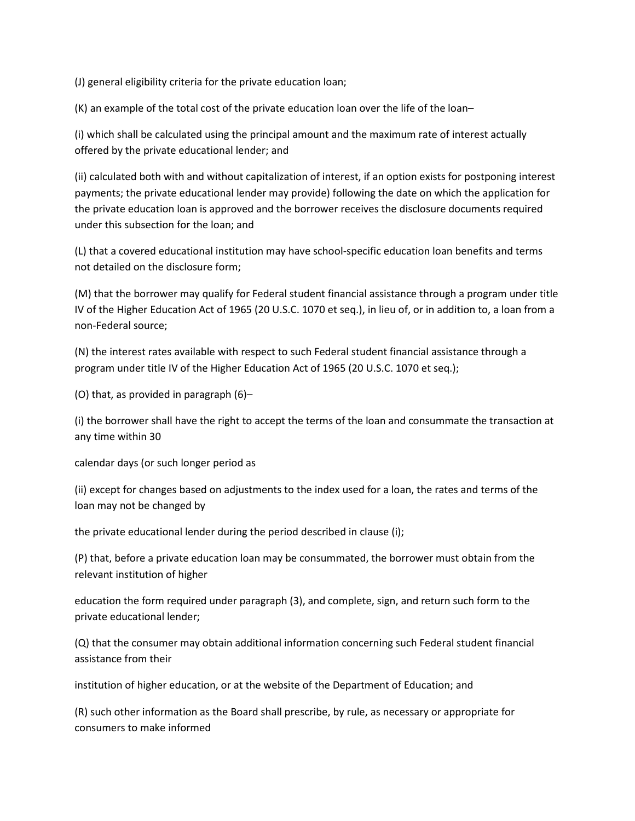(J) general eligibility criteria for the private education loan;

(K) an example of the total cost of the private education loan over the life of the loan–

(i) which shall be calculated using the principal amount and the maximum rate of interest actually offered by the private educational lender; and

(ii) calculated both with and without capitalization of interest, if an option exists for postponing interest payments; the private educational lender may provide) following the date on which the application for the private education loan is approved and the borrower receives the disclosure documents required under this subsection for the loan; and

(L) that a covered educational institution may have school-specific education loan benefits and terms not detailed on the disclosure form;

(M) that the borrower may qualify for Federal student financial assistance through a program under title IV of the Higher Education Act of 1965 (20 U.S.C. 1070 et seq.), in lieu of, or in addition to, a loan from a non-Federal source;

(N) the interest rates available with respect to such Federal student financial assistance through a program under title IV of the Higher Education Act of 1965 (20 U.S.C. 1070 et seq.);

(O) that, as provided in paragraph (6)–

(i) the borrower shall have the right to accept the terms of the loan and consummate the transaction at any time within 30

calendar days (or such longer period as

(ii) except for changes based on adjustments to the index used for a loan, the rates and terms of the loan may not be changed by

the private educational lender during the period described in clause (i);

(P) that, before a private education loan may be consummated, the borrower must obtain from the relevant institution of higher

education the form required under paragraph (3), and complete, sign, and return such form to the private educational lender;

(Q) that the consumer may obtain additional information concerning such Federal student financial assistance from their

institution of higher education, or at the website of the Department of Education; and

(R) such other information as the Board shall prescribe, by rule, as necessary or appropriate for consumers to make informed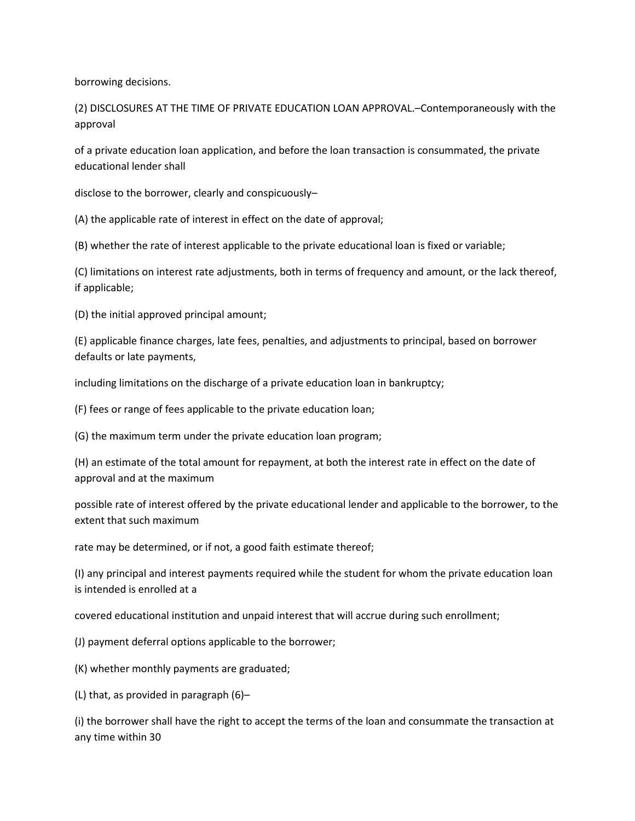borrowing decisions.

(2) DISCLOSURES AT THE TIME OF PRIVATE EDUCATION LOAN APPROVAL.–Contemporaneously with the approval

of a private education loan application, and before the loan transaction is consummated, the private educational lender shall

disclose to the borrower, clearly and conspicuously–

(A) the applicable rate of interest in effect on the date of approval;

(B) whether the rate of interest applicable to the private educational loan is fixed or variable;

(C) limitations on interest rate adjustments, both in terms of frequency and amount, or the lack thereof, if applicable;

(D) the initial approved principal amount;

(E) applicable finance charges, late fees, penalties, and adjustments to principal, based on borrower defaults or late payments,

including limitations on the discharge of a private education loan in bankruptcy;

(F) fees or range of fees applicable to the private education loan;

(G) the maximum term under the private education loan program;

(H) an estimate of the total amount for repayment, at both the interest rate in effect on the date of approval and at the maximum

possible rate of interest offered by the private educational lender and applicable to the borrower, to the extent that such maximum

rate may be determined, or if not, a good faith estimate thereof;

(I) any principal and interest payments required while the student for whom the private education loan is intended is enrolled at a

covered educational institution and unpaid interest that will accrue during such enrollment;

(J) payment deferral options applicable to the borrower;

(K) whether monthly payments are graduated;

(L) that, as provided in paragraph (6)–

(i) the borrower shall have the right to accept the terms of the loan and consummate the transaction at any time within 30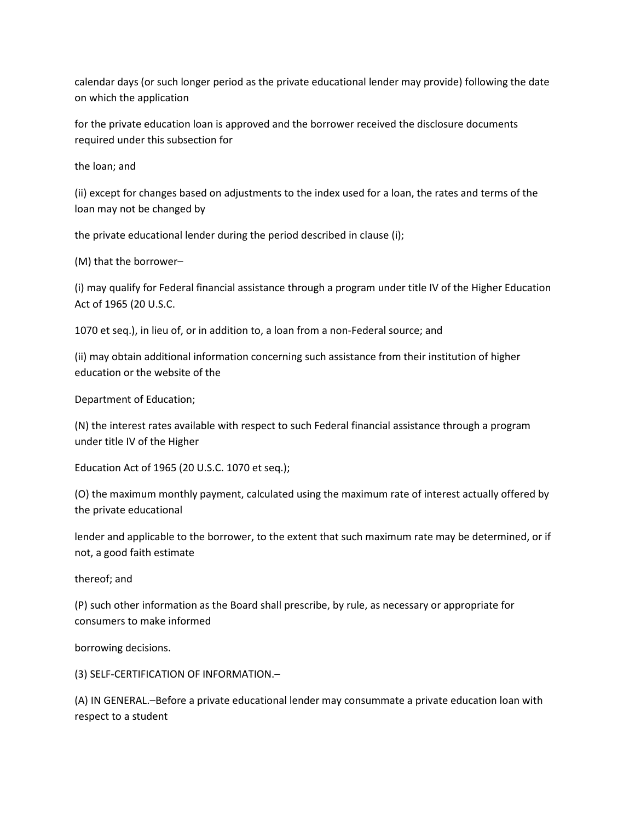calendar days (or such longer period as the private educational lender may provide) following the date on which the application

for the private education loan is approved and the borrower received the disclosure documents required under this subsection for

the loan; and

(ii) except for changes based on adjustments to the index used for a loan, the rates and terms of the loan may not be changed by

the private educational lender during the period described in clause (i);

(M) that the borrower–

(i) may qualify for Federal financial assistance through a program under title IV of the Higher Education Act of 1965 (20 U.S.C.

1070 et seq.), in lieu of, or in addition to, a loan from a non-Federal source; and

(ii) may obtain additional information concerning such assistance from their institution of higher education or the website of the

Department of Education;

(N) the interest rates available with respect to such Federal financial assistance through a program under title IV of the Higher

Education Act of 1965 (20 U.S.C. 1070 et seq.);

(O) the maximum monthly payment, calculated using the maximum rate of interest actually offered by the private educational

lender and applicable to the borrower, to the extent that such maximum rate may be determined, or if not, a good faith estimate

thereof; and

(P) such other information as the Board shall prescribe, by rule, as necessary or appropriate for consumers to make informed

borrowing decisions.

(3) SELF-CERTIFICATION OF INFORMATION.–

(A) IN GENERAL.–Before a private educational lender may consummate a private education loan with respect to a student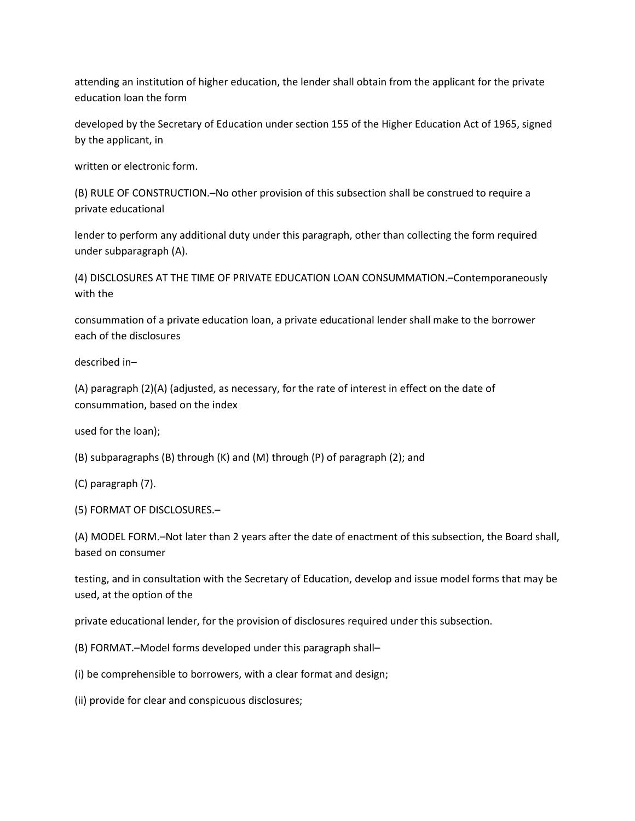attending an institution of higher education, the lender shall obtain from the applicant for the private education loan the form

developed by the Secretary of Education under section 155 of the Higher Education Act of 1965, signed by the applicant, in

written or electronic form.

(B) RULE OF CONSTRUCTION.–No other provision of this subsection shall be construed to require a private educational

lender to perform any additional duty under this paragraph, other than collecting the form required under subparagraph (A).

(4) DISCLOSURES AT THE TIME OF PRIVATE EDUCATION LOAN CONSUMMATION.–Contemporaneously with the

consummation of a private education loan, a private educational lender shall make to the borrower each of the disclosures

described in–

(A) paragraph (2)(A) (adjusted, as necessary, for the rate of interest in effect on the date of consummation, based on the index

used for the loan);

(B) subparagraphs (B) through (K) and (M) through (P) of paragraph (2); and

(C) paragraph (7).

(5) FORMAT OF DISCLOSURES.–

(A) MODEL FORM.–Not later than 2 years after the date of enactment of this subsection, the Board shall, based on consumer

testing, and in consultation with the Secretary of Education, develop and issue model forms that may be used, at the option of the

private educational lender, for the provision of disclosures required under this subsection.

(B) FORMAT.–Model forms developed under this paragraph shall–

(i) be comprehensible to borrowers, with a clear format and design;

(ii) provide for clear and conspicuous disclosures;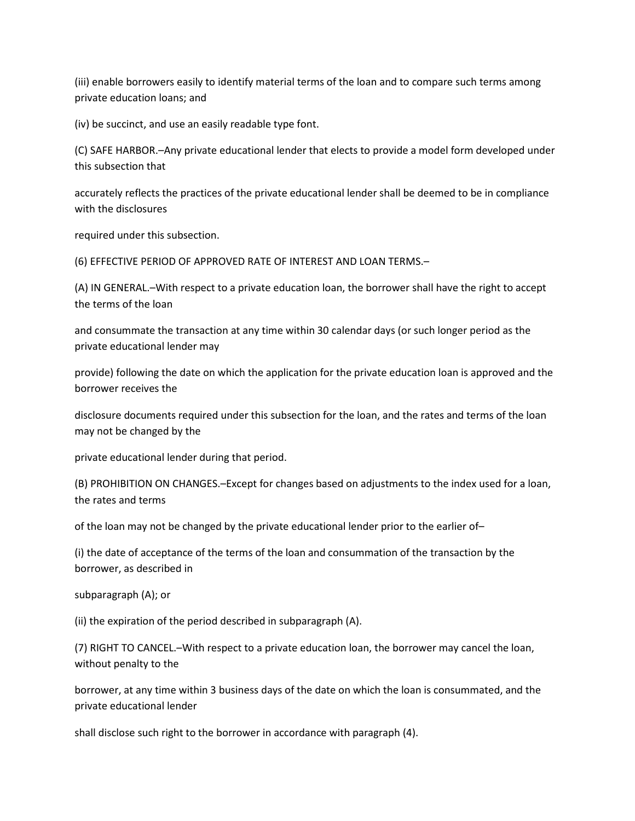(iii) enable borrowers easily to identify material terms of the loan and to compare such terms among private education loans; and

(iv) be succinct, and use an easily readable type font.

(C) SAFE HARBOR.–Any private educational lender that elects to provide a model form developed under this subsection that

accurately reflects the practices of the private educational lender shall be deemed to be in compliance with the disclosures

required under this subsection.

(6) EFFECTIVE PERIOD OF APPROVED RATE OF INTEREST AND LOAN TERMS.–

(A) IN GENERAL.–With respect to a private education loan, the borrower shall have the right to accept the terms of the loan

and consummate the transaction at any time within 30 calendar days (or such longer period as the private educational lender may

provide) following the date on which the application for the private education loan is approved and the borrower receives the

disclosure documents required under this subsection for the loan, and the rates and terms of the loan may not be changed by the

private educational lender during that period.

(B) PROHIBITION ON CHANGES.–Except for changes based on adjustments to the index used for a loan, the rates and terms

of the loan may not be changed by the private educational lender prior to the earlier of–

(i) the date of acceptance of the terms of the loan and consummation of the transaction by the borrower, as described in

subparagraph (A); or

(ii) the expiration of the period described in subparagraph (A).

(7) RIGHT TO CANCEL.–With respect to a private education loan, the borrower may cancel the loan, without penalty to the

borrower, at any time within 3 business days of the date on which the loan is consummated, and the private educational lender

shall disclose such right to the borrower in accordance with paragraph (4).